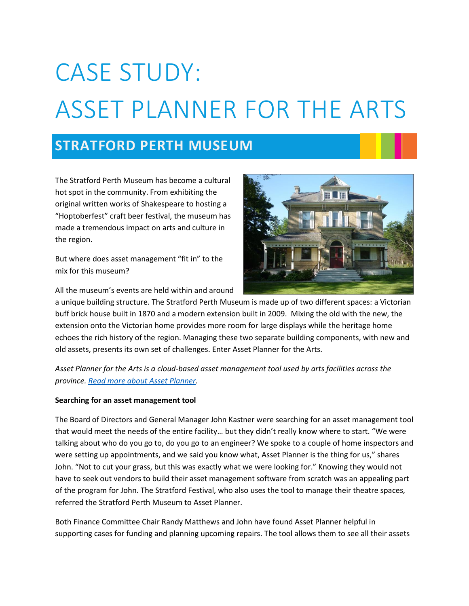# CASE STUDY: ASSET PLANNER FOR THE ARTS

## **STRATFORD PERTH MUSEUM**

The Stratford Perth Museum has become a cultural hot spot in the community. From exhibiting the original written works of Shakespeare to hosting a "Hoptoberfest" craft beer festival, the museum has made a tremendous impact on arts and culture in the region.

But where does asset management "fit in" to the mix for this museum?

All the museum's events are held within and around



a unique building structure. The Stratford Perth Museum is made up of two different spaces: a Victorian buff brick house built in 1870 and a modern extension built in 2009. Mixing the old with the new, the extension onto the Victorian home provides more room for large displays while the heritage home echoes the rich history of the region. Managing these two separate building components, with new and old assets, presents its own set of challenges. Enter Asset Planner for the Arts.

*Asset Planner for the Arts is a cloud-based asset management tool used by arts facilities across the province. [Read more about Asset Planner.](http://www.artsbuildontario.ca/managing/asset-planner/)* 

### **Searching for an asset management tool**

The Board of Directors and General Manager John Kastner were searching for an asset management tool that would meet the needs of the entire facility… but they didn't really know where to start. "We were talking about who do you go to, do you go to an engineer? We spoke to a couple of home inspectors and were setting up appointments, and we said you know what, Asset Planner is the thing for us," shares John. "Not to cut your grass, but this was exactly what we were looking for." Knowing they would not have to seek out vendors to build their asset management software from scratch was an appealing part of the program for John. The Stratford Festival, who also uses the tool to manage their theatre spaces, referred the Stratford Perth Museum to Asset Planner.

Both Finance Committee Chair Randy Matthews and John have found Asset Planner helpful in supporting cases for funding and planning upcoming repairs. The tool allows them to see all their assets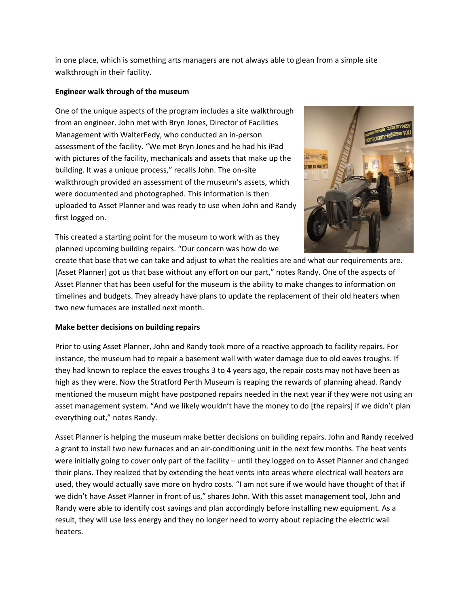in one place, which is something arts managers are not always able to glean from a simple site walkthrough in their facility.

#### **Engineer walk through of the museum**

One of the unique aspects of the program includes a site walkthrough from an engineer. John met with Bryn Jones, Director of Facilities Management with WalterFedy, who conducted an in-person assessment of the facility. "We met Bryn Jones and he had his iPad with pictures of the facility, mechanicals and assets that make up the building. It was a unique process," recalls John. The on-site walkthrough provided an assessment of the museum's assets, which were documented and photographed. This information is then uploaded to Asset Planner and was ready to use when John and Randy first logged on.



This created a starting point for the museum to work with as they planned upcoming building repairs. "Our concern was how do we

create that base that we can take and adjust to what the realities are and what our requirements are. [Asset Planner] got us that base without any effort on our part," notes Randy. One of the aspects of Asset Planner that has been useful for the museum is the ability to make changes to information on timelines and budgets. They already have plans to update the replacement of their old heaters when two new furnaces are installed next month.

### **Make better decisions on building repairs**

Prior to using Asset Planner, John and Randy took more of a reactive approach to facility repairs. For instance, the museum had to repair a basement wall with water damage due to old eaves troughs. If they had known to replace the eaves troughs 3 to 4 years ago, the repair costs may not have been as high as they were. Now the Stratford Perth Museum is reaping the rewards of planning ahead. Randy mentioned the museum might have postponed repairs needed in the next year if they were not using an asset management system. "And we likely wouldn't have the money to do [the repairs] if we didn't plan everything out," notes Randy.

Asset Planner is helping the museum make better decisions on building repairs. John and Randy received a grant to install two new furnaces and an air-conditioning unit in the next few months. The heat vents were initially going to cover only part of the facility – until they logged on to Asset Planner and changed their plans. They realized that by extending the heat vents into areas where electrical wall heaters are used, they would actually save more on hydro costs. "I am not sure if we would have thought of that if we didn't have Asset Planner in front of us," shares John. With this asset management tool, John and Randy were able to identify cost savings and plan accordingly before installing new equipment. As a result, they will use less energy and they no longer need to worry about replacing the electric wall heaters.